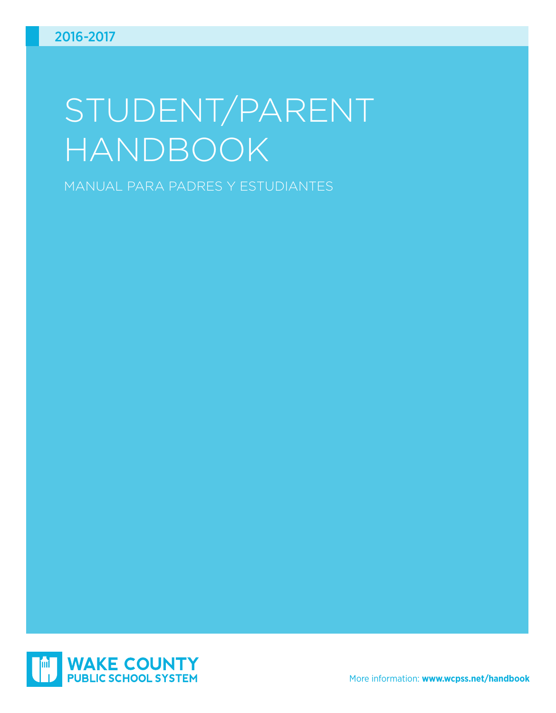# STUDENT/PARENT HANDBOOK

MANUAL PARA PADRES Y ESTUDIANTES

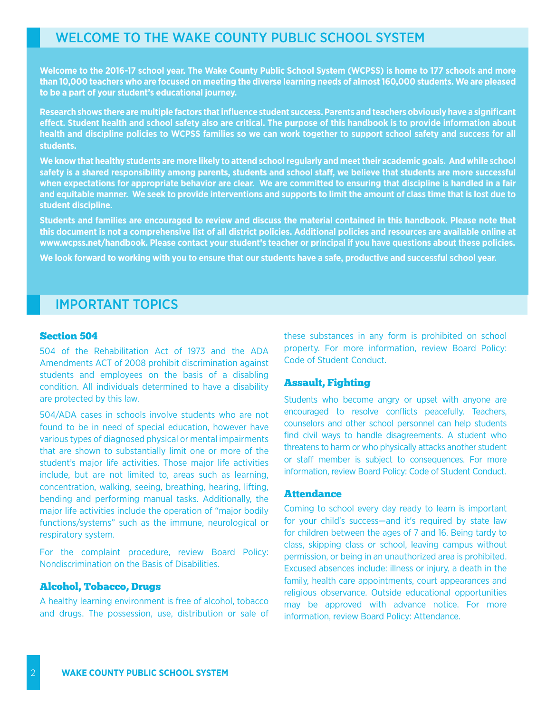# WELCOME TO THE WAKE COUNTY PUBLIC SCHOOL SYSTEM

**Welcome to the 2016-17 school year. The Wake County Public School System (WCPSS) is home to 177 schools and more than 10,000 teachers who are focused on meeting the diverse learning needs of almost 160,000 students. We are pleased to be a part of your student's educational journey.**

**Research shows there are multiple factors that influence student success. Parents and teachers obviously have a significant effect. Student health and school safety also are critical. The purpose of this handbook is to provide information about health and discipline policies to WCPSS families so we can work together to support school safety and success for all students.**

**We know that healthy students are more likely to attend school regularly and meet their academic goals. And while school safety is a shared responsibility among parents, students and school staff, we believe that students are more successful when expectations for appropriate behavior are clear. We are committed to ensuring that discipline is handled in a fair and equitable manner. We seek to provide interventions and supports to limit the amount of class time that is lost due to student discipline.**

**Students and families are encouraged to review and discuss the material contained in this handbook. Please note that this document is not a comprehensive list of all district policies. Additional policies and resources are available online at www.wcpss.net/handbook. Please contact your student's teacher or principal if you have questions about these policies.**

**We look forward to working with you to ensure that our students have a safe, productive and successful school year.**

# IMPORTANT TOPICS

### Section 504

504 of the Rehabilitation Act of 1973 and the ADA Amendments ACT of 2008 prohibit discrimination against students and employees on the basis of a disabling condition. All individuals determined to have a disability are protected by this law.

504/ADA cases in schools involve students who are not found to be in need of special education, however have various types of diagnosed physical or mental impairments that are shown to substantially limit one or more of the student's major life activities. Those major life activities include, but are not limited to, areas such as learning, concentration, walking, seeing, breathing, hearing, lifting, bending and performing manual tasks. Additionally, the major life activities include the operation of "major bodily functions/systems" such as the immune, neurological or respiratory system.

For the complaint procedure, review Board Policy: Nondiscrimination on the Basis of Disabilities.

#### Alcohol, Tobacco, Drugs

A healthy learning environment is free of alcohol, tobacco and drugs. The possession, use, distribution or sale of these substances in any form is prohibited on school property. For more information, review Board Policy: Code of Student Conduct.

## Assault, Fighting

Students who become angry or upset with anyone are encouraged to resolve conflicts peacefully. Teachers, counselors and other school personnel can help students find civil ways to handle disagreements. A student who threatens to harm or who physically attacks another student or staff member is subject to consequences. For more information, review Board Policy: Code of Student Conduct.

## **Attendance**

Coming to school every day ready to learn is important for your child's success—and it's required by state law for children between the ages of 7 and 16. Being tardy to class, skipping class or school, leaving campus without permission, or being in an unauthorized area is prohibited. Excused absences include: illness or injury, a death in the family, health care appointments, court appearances and religious observance. Outside educational opportunities may be approved with advance notice. For more information, review Board Policy: Attendance.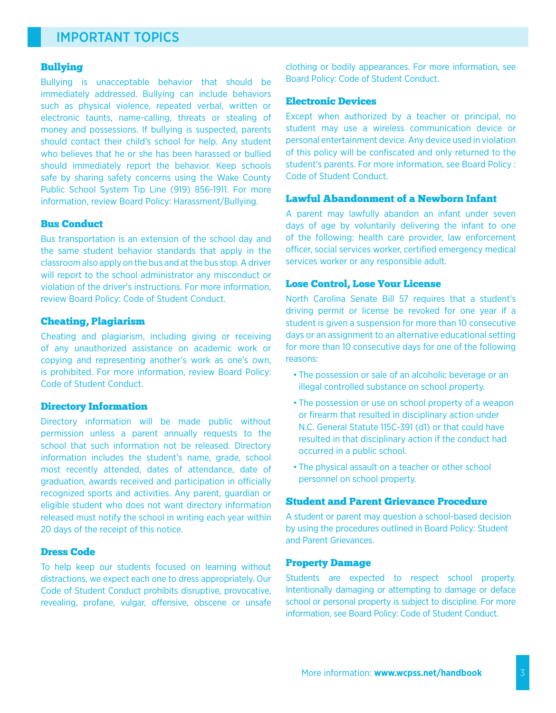# IMPORTANT TOPICS

## Bullying

Bullying is unacceptable behavior that should be immediately addressed. Bullying can include behaviors such as physical violence, repeated verbal, written or electronic taunts, name-calling, threats or stealing of money and possessions. If bullying is suspected, parents should contact their child's school for help. Any student who believes that he or she has been harassed or bullied should immediately report the behavior. Keep schools safe by sharing safety concerns using the Wake County Public School System Tip Line (919) 856-1911. For more information, review Board Policy: Harassment/Bullying.

#### Bus Conduct

Bus transportation is an extension of the school day and the same student behavior standards that apply in the classroom also apply on the bus and at the bus stop. A driver will report to the school administrator any misconduct or violation of the driver's instructions. For more information, review Board Policy: Code of Student Conduct.

#### Cheating, Plagiarism

Cheating and plagiarism, including giving or receiving of any unauthorized assistance on academic work or copying and representing another's work as one's own, is prohibited. For more information, review Board Policy: Code of Student Conduct.

#### Directory Information

Directory information will be made public without permission unless a parent annually requests to the school that such information not be released. Directory information includes the student's name, grade, school most recently attended, dates of attendance, date of graduation, awards received and participation in officially recognized sports and activities. Any parent, guardian or eligible student who does not want directory information released must notify the school in writing each year within 20 days of the receipt of this notice.

## Dress Code

To help keep our students focused on learning without distractions, we expect each one to dress appropriately. Our Code of Student Conduct prohibits disruptive, provocative, revealing, profane, vulgar, offensive, obscene or unsafe clothing or bodily appearances. For more information, see Board Policy: Code of Student Conduct.

#### Electronic Devices

Except when authorized by a teacher or principal, no student may use a wireless communication device or personal entertainment device. Any device used in violation of this policy will be confiscated and only returned to the student's parents. For more information, see Board Policy : Code of Student Conduct.

#### Lawful Abandonment of a Newborn Infant

A parent may lawfully abandon an infant under seven days of age by voluntarily delivering the infant to one of the following: health care provider, law enforcement officer, social services worker, certified emergency medical services worker or any responsible adult.

#### Lose Control, Lose Your License

North Carolina Senate Bill 57 requires that a student's driving permit or license be revoked for one year if a student is given a suspension for more than 10 consecutive days or an assignment to an alternative educational setting for more than 10 consecutive days for one of the following reasons:

- The possession or sale of an alcoholic beverage or an illegal controlled substance on school property.
- The possession or use on school property of a weapon or firearm that resulted in disciplinary action under N.C. General Statute 115C-391 (d1) or that could have resulted in that disciplinary action if the conduct had occurred in a public school.
- The physical assault on a teacher or other school personnel on school property.

## Student and Parent Grievance Procedure

A student or parent may question a school-based decision by using the procedures outlined in Board Policy: Student and Parent Grievances.

#### Property Damage

Students are expected to respect school property. Intentionally damaging or attempting to damage or deface school or personal property is subject to discipline. For more information, see Board Policy: Code of Student Conduct.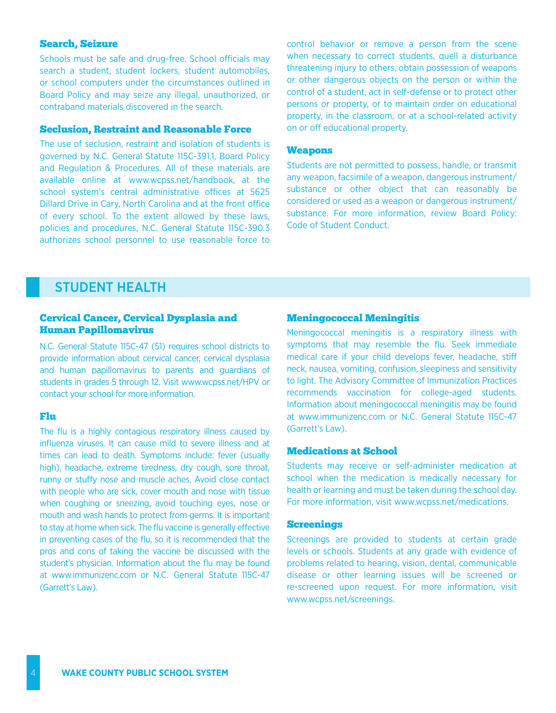# Search, Seizure

Schools must be safe and drug-free. School officials may search a student, student lockers, student automobiles, or school computers under the circumstances outlined in Board Policy and may seize any illegal, unauthorized, or contraband materials discovered in the search.

# Seclusion, Restraint and Reasonable Force

The use of seclusion, restraint and isolation of students is governed by N.C. General Statute 115C-391.1, Board Policy and Regulation & Procedures. All of these materials are available online at www.wcpss.net/handbook, at the school system's central administrative offices at 5625 Dillard Drive in Cary, North Carolina and at the front office of every school. To the extent allowed by these laws, policies and procedures, N.C. General Statute 115C-390.3 authorizes school personnel to use reasonable force to

control behavior or remove a person from the scene when necessary to correct students, quell a disturbance threatening injury to others, obtain possession of weapons or other dangerous objects on the person or within the control of a student, act in self-defense or to protect other persons or property, or to maintain order on educational property, in the classroom, or at a school-related activity on or off educational property.

#### Weapons

Students are not permitted to possess, handle, or transmit any weapon, facsimile of a weapon, dangerous instrument/ substance or other object that can reasonably be considered or used as a weapon or dangerous instrument/ substance. For more information, review Board Policy: Code of Student Conduct.

# STUDENT HEALTH

#### Cervical Cancer, Cervical Dysplasia and Human Papillomavirus

N.C. General Statute 115C-47 (51) requires school districts to provide information about cervical cancer, cervical dysplasia and human papillomavirus to parents and guardians of students in grades 5 through 12. Visit www.wcpss.net/HPV or contact your school for more information.

#### Flu

The flu is a highly contagious respiratory illness caused by influenza viruses. It can cause mild to severe illness and at times can lead to death. Symptoms include: fever (usually high), headache, extreme tiredness, dry cough, sore throat, runny or stuffy nose and muscle aches. Avoid close contact with people who are sick, cover mouth and nose with tissue when coughing or sneezing, avoid touching eyes, nose or mouth and wash hands to protect from germs. It is important to stay at home when sick. The flu vaccine is generally effective in preventing cases of the flu, so it is recommended that the pros and cons of taking the vaccine be discussed with the student's physician. Information about the flu may be found at www.immunizenc.com or N.C. General Statute 115C-47 (Garrett's Law).

#### Meningococcal Meningitis

Meningococcal meningitis is a respiratory illness with symptoms that may resemble the flu. Seek immediate medical care if your child develops fever, headache, stiff neck, nausea, vomiting, confusion, sleepiness and sensitivity to light. The Advisory Committee of Immunization Practices recommends vaccination for college-aged students. Information about meningococcal meningitis may be found at www.immunizenc.com or N.C. General Statute 115C-47 (Garrett's Law).

## Medications at School

Students may receive or self-administer medication at school when the medication is medically necessary for health or learning and must be taken during the school day. For more information, visit www.wcpss.net/medications.

#### Screenings

Screenings are provided to students at certain grade levels or schools. Students at any grade with evidence of problems related to hearing, vision, dental, communicable disease or other learning issues will be screened or re-screened upon request. For more information, visit www.wcpss.net/screenings.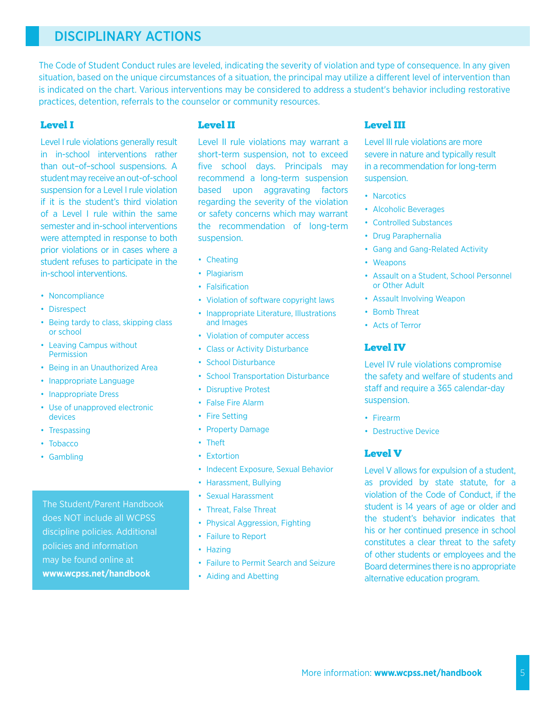# DISCIPLINARY ACTIONS

The Code of Student Conduct rules are leveled, indicating the severity of violation and type of consequence. In any given situation, based on the unique circumstances of a situation, the principal may utilize a different level of intervention than is indicated on the chart. Various interventions may be considered to address a student's behavior including restorative practices, detention, referrals to the counselor or community resources.

# Level I

Level I rule violations generally result in in-school interventions rather than out–of–school suspensions. A student may receive an out-of-school suspension for a Level I rule violation if it is the student's third violation of a Level I rule within the same semester and in-school interventions were attempted in response to both prior violations or in cases where a student refuses to participate in the in-school interventions.

- Noncompliance
- Disrespect
- Being tardy to class, skipping class or school
- Leaving Campus without Permission
- Being in an Unauthorized Area
- Inappropriate Language
- Inappropriate Dress
- Use of unapproved electronic devices
- Trespassing
- Tobacco
- Gambling

The Student/Parent Handbook does NOT include all WCPSS discipline policies. Additional policies and information may be found online at **www.wcpss.net/handbook** 

# Level II

Level II rule violations may warrant a short-term suspension, not to exceed five school days. Principals may recommend a long-term suspension based upon aggravating factors regarding the severity of the violation or safety concerns which may warrant the recommendation of long-term suspension.

- Cheating
- Plagiarism
- Falsification
- Violation of software copyright laws
- Inappropriate Literature, Illustrations and Images
- Violation of computer access
- Class or Activity Disturbance
- School Disturbance
- School Transportation Disturbance
- Disruptive Protest
- False Fire Alarm
- Fire Setting
- Property Damage
- Theft
- Extortion
- Indecent Exposure, Sexual Behavior
- Harassment, Bullying
- Sexual Harassment
- Threat, False Threat
- Physical Aggression, Fighting
- Failure to Report
- Hazing
- Failure to Permit Search and Seizure
- Aiding and Abetting

# Level III

Level III rule violations are more severe in nature and typically result in a recommendation for long-term suspension.

- Narcotics
- Alcoholic Beverages
- Controlled Substances
- Drug Paraphernalia
- Gang and Gang-Related Activity
- Weapons
- Assault on a Student, School Personnel or Other Adult
- Assault Involving Weapon
- Bomb Threat
- Acts of Terror

# Level IV

Level IV rule violations compromise the safety and welfare of students and staff and require a 365 calendar-day suspension.

- Firearm
- Destructive Device

# Level V

Level V allows for expulsion of a student, as provided by state statute, for a violation of the Code of Conduct, if the student is 14 years of age or older and the student's behavior indicates that his or her continued presence in school constitutes a clear threat to the safety of other students or employees and the Board determines there is no appropriate alternative education program.